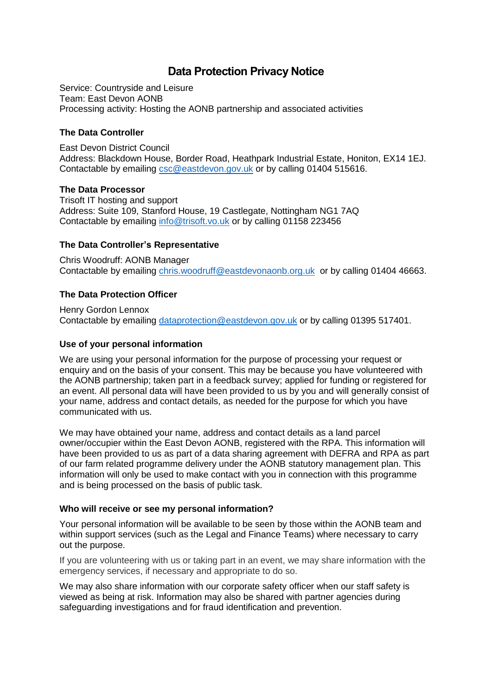# **Data Protection Privacy Notice**

Service: Countryside and Leisure Team: East Devon AONB Processing activity: Hosting the AONB partnership and associated activities

### **The Data Controller**

East Devon District Council Address: Blackdown House, Border Road, Heathpark Industrial Estate, Honiton, EX14 1EJ. Contactable by emailing [csc@eastdevon.gov.uk](mailto:csc@eastdevon.gov.uk) or by calling 01404 515616.

### **The Data Processor**

Trisoft IT hosting and support Address: Suite 109, Stanford House, 19 Castlegate, Nottingham NG1 7AQ Contactable by emailing [info@trisoft.vo.uk](mailto:info@trisoft.vo.uk) or by calling 01158 223456

### **The Data Controller's Representative**

Chris Woodruff: AONB Manager Contactable by emailing [chris.woodruff@eastdevonaonb.org.uk](mailto:chris.woodruff@eastdevonaonb.org.uk) or by calling 01404 46663.

### **The Data Protection Officer**

Henry Gordon Lennox Contactable by emailing [dataprotection@eastdevon.gov.uk](mailto:dataprotection@eastdevon.gov.uk) or by calling 01395 517401.

#### **Use of your personal information**

We are using your personal information for the purpose of processing your request or enquiry and on the basis of your consent. This may be because you have volunteered with the AONB partnership; taken part in a feedback survey; applied for funding or registered for an event. All personal data will have been provided to us by you and will generally consist of your name, address and contact details, as needed for the purpose for which you have communicated with us.

We may have obtained your name, address and contact details as a land parcel owner/occupier within the East Devon AONB, registered with the RPA. This information will have been provided to us as part of a data sharing agreement with DEFRA and RPA as part of our farm related programme delivery under the AONB statutory management plan. This information will only be used to make contact with you in connection with this programme and is being processed on the basis of public task.

### **Who will receive or see my personal information?**

Your personal information will be available to be seen by those within the AONB team and within support services (such as the Legal and Finance Teams) where necessary to carry out the purpose.

If you are volunteering with us or taking part in an event, we may share information with the emergency services, if necessary and appropriate to do so.

We may also share information with our corporate safety officer when our staff safety is viewed as being at risk. Information may also be shared with partner agencies during safeguarding investigations and for fraud identification and prevention.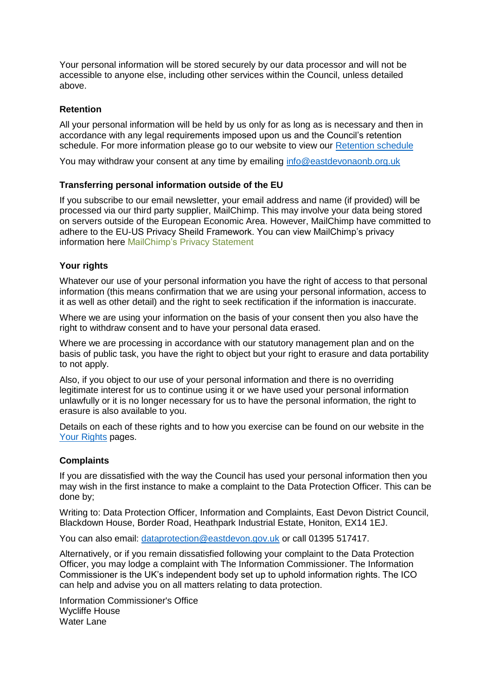Your personal information will be stored securely by our data processor and will not be accessible to anyone else, including other services within the Council, unless detailed above.

## **Retention**

All your personal information will be held by us only for as long as is necessary and then in accordance with any legal requirements imposed upon us and the Council's retention schedule. For more information please go to our website to view our [Retention schedule](http://eastdevon.gov.uk/access-to-information/data-protection/document-retention-schedules/)

You may withdraw your consent at any time by emailing [info@eastdevonaonb.org.uk](mailto:info@eastdevonaonb.org.uk)

## **Transferring personal information outside of the EU**

If you subscribe to our email newsletter, your email address and name (if provided) will be processed via our third party supplier, MailChimp. This may involve your data being stored on servers outside of the European Economic Area. However, MailChimp have committed to adhere to the EU-US Privacy Sheild Framework. You can view MailChimp's privacy information here [MailChimp's](https://mailchimp.com/legal/privacy/) Privacy Statement

### **Your rights**

Whatever our use of your personal information you have the right of access to that personal information (this means confirmation that we are using your personal information, access to it as well as other detail) and the right to seek rectification if the information is inaccurate.

Where we are using your information on the basis of your consent then you also have the right to withdraw consent and to have your personal data erased.

Where we are processing in accordance with our statutory management plan and on the basis of public task, you have the right to object but your right to erasure and data portability to not apply.

Also, if you object to our use of your personal information and there is no overriding legitimate interest for us to continue using it or we have used your personal information unlawfully or it is no longer necessary for us to have the personal information, the right to erasure is also available to you.

Details on each of these rights and to how you exercise can be found on our website in the [Your Rights](https://eastdevon.gov.uk/access-to-information/data-protection/data-protection-information/your-rights/) pages.

### **Complaints**

If you are dissatisfied with the way the Council has used your personal information then you may wish in the first instance to make a complaint to the Data Protection Officer. This can be done by;

Writing to: Data Protection Officer, Information and Complaints, East Devon District Council, Blackdown House, Border Road, Heathpark Industrial Estate, Honiton, EX14 1EJ.

You can also email: [dataprotection@eastdevon.gov.uk](mailto:dataprotection@eastdevon.gov.uk) or call 01395 517417.

Alternatively, or if you remain dissatisfied following your complaint to the Data Protection Officer, you may lodge a complaint with The Information Commissioner. The Information Commissioner is the UK's independent body set up to uphold information rights. The ICO can help and advise you on all matters relating to data protection.

Information Commissioner's Office Wycliffe House Water Lane